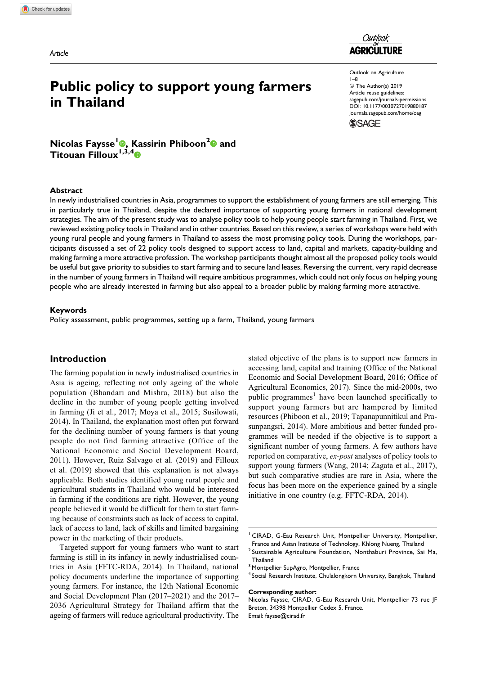Article



# Public policy to support young farmers in Thailand

Outlook on Agriculture 1–8 © The Author(s) 2019 Article reuse guidelines: [sagepub.com/journals-permissions](https://sagepub.com/journals-permissions) [DOI: 10.1177/0030727019880187](https://doi.org/10.1177/0030727019880187) [journals.sagepub.com/home/oag](http://journals.sagepub.com/home/oag)**SSAGE** 

Nicolas Faysse<sup>[1](https://orcid.org/0000-0002-5683-8473)</sup><sup>®</sup>, Kassirin Phiboon<sup>[2](https://orcid.org/0000-0001-8428-2049)</sup><sup>®</sup> and Titouan Filloux<sup>1,3,[4](https://orcid.org/0000-0002-3577-7368)</sup> $\bullet$ 

#### Abstract

In newly industrialised countries in Asia, programmes to support the establishment of young farmers are still emerging. This in particularly true in Thailand, despite the declared importance of supporting young farmers in national development strategies. The aim of the present study was to analyse policy tools to help young people start farming in Thailand. First, we reviewed existing policy tools in Thailand and in other countries. Based on this review, a series of workshops were held with young rural people and young farmers in Thailand to assess the most promising policy tools. During the workshops, participants discussed a set of 22 policy tools designed to support access to land, capital and markets, capacity-building and making farming a more attractive profession. The workshop participants thought almost all the proposed policy tools would be useful but gave priority to subsidies to start farming and to secure land leases. Reversing the current, very rapid decrease in the number of young farmers in Thailand will require ambitious programmes, which could not only focus on helping young people who are already interested in farming but also appeal to a broader public by making farming more attractive.

#### Keywords

Policy assessment, public programmes, setting up a farm, Thailand, young farmers

## Introduction

The farming population in newly industrialised countries in Asia is ageing, reflecting not only ageing of the whole population (Bhandari and Mishra, 2018) but also the decline in the number of young people getting involved in farming (Ji et al., 2017; Moya et al., 2015; Susilowati, 2014). In Thailand, the explanation most often put forward for the declining number of young farmers is that young people do not find farming attractive (Office of the National Economic and Social Development Board, 2011). However, Ruiz Salvago et al. (2019) and Filloux et al. (2019) showed that this explanation is not always applicable. Both studies identified young rural people and agricultural students in Thailand who would be interested in farming if the conditions are right. However, the young people believed it would be difficult for them to start farming because of constraints such as lack of access to capital, lack of access to land, lack of skills and limited bargaining power in the marketing of their products.

Targeted support for young farmers who want to start farming is still in its infancy in newly industrialised countries in Asia (FFTC-RDA, 2014). In Thailand, national policy documents underline the importance of supporting young farmers. For instance, the 12th National Economic and Social Development Plan (2017–2021) and the 2017– 2036 Agricultural Strategy for Thailand affirm that the ageing of farmers will reduce agricultural productivity. The

stated objective of the plans is to support new farmers in accessing land, capital and training (Office of the National Economic and Social Development Board, 2016; Office of Agricultural Economics, 2017). Since the mid-2000s, two public programmes<sup>1</sup> have been launched specifically to support young farmers but are hampered by limited resources (Phiboon et al., 2019; Tapanapunnitikul and Prasunpangsri, 2014). More ambitious and better funded programmes will be needed if the objective is to support a significant number of young farmers. A few authors have reported on comparative, ex-post analyses of policy tools to support young farmers (Wang, 2014; Zagata et al., 2017), but such comparative studies are rare in Asia, where the focus has been more on the experience gained by a single initiative in one country (e.g. FFTC-RDA, 2014).

#### Corresponding author:

<sup>&</sup>lt;sup>1</sup> CIRAD, G-Eau Research Unit, Montpellier University, Montpellier, France and Asian Institute of Technology, Khlong Nueng, Thailand

<sup>2</sup> Sustainable Agriculture Foundation, Nonthaburi Province, Sai Ma, **Thailand** 

<sup>&</sup>lt;sup>3</sup> Montpellier SupAgro, Montpellier, France

<sup>4</sup> Social Research Institute, Chulalongkorn University, Bangkok, Thailand

Nicolas Faysse, CIRAD, G-Eau Research Unit, Montpellier 73 rue JF Breton, 34398 Montpellier Cedex 5, France. Email: [faysse@cirad.fr](mailto:faysse@cirad.fr)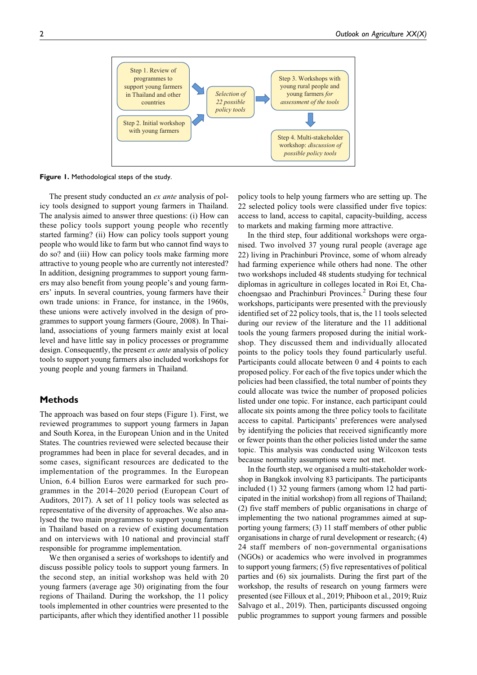

Figure 1. Methodological steps of the study.

The present study conducted an ex ante analysis of policy tools designed to support young farmers in Thailand. The analysis aimed to answer three questions: (i) How can these policy tools support young people who recently started farming? (ii) How can policy tools support young people who would like to farm but who cannot find ways to do so? and (iii) How can policy tools make farming more attractive to young people who are currently not interested? In addition, designing programmes to support young farmers may also benefit from young people's and young farmers' inputs. In several countries, young farmers have their own trade unions: in France, for instance, in the 1960s, these unions were actively involved in the design of programmes to support young farmers (Goure, 2008). In Thailand, associations of young farmers mainly exist at local level and have little say in policy processes or programme design. Consequently, the present *ex ante* analysis of policy tools to support young farmers also included workshops for young people and young farmers in Thailand.

## Methods

The approach was based on four steps (Figure 1). First, we reviewed programmes to support young farmers in Japan and South Korea, in the European Union and in the United States. The countries reviewed were selected because their programmes had been in place for several decades, and in some cases, significant resources are dedicated to the implementation of the programmes. In the European Union, 6.4 billion Euros were earmarked for such programmes in the 2014–2020 period (European Court of Auditors, 2017). A set of 11 policy tools was selected as representative of the diversity of approaches. We also analysed the two main programmes to support young farmers in Thailand based on a review of existing documentation and on interviews with 10 national and provincial staff responsible for programme implementation.

We then organised a series of workshops to identify and discuss possible policy tools to support young farmers. In the second step, an initial workshop was held with 20 young farmers (average age 30) originating from the four regions of Thailand. During the workshop, the 11 policy tools implemented in other countries were presented to the participants, after which they identified another 11 possible

policy tools to help young farmers who are setting up. The 22 selected policy tools were classified under five topics: access to land, access to capital, capacity-building, access to markets and making farming more attractive.

In the third step, four additional workshops were organised. Two involved 37 young rural people (average age 22) living in Prachinburi Province, some of whom already had farming experience while others had none. The other two workshops included 48 students studying for technical diplomas in agriculture in colleges located in Roi Et, Chachoengsao and Prachinburi Provinces.2 During these four workshops, participants were presented with the previously identified set of 22 policy tools, that is, the 11 tools selected during our review of the literature and the 11 additional tools the young farmers proposed during the initial workshop. They discussed them and individually allocated points to the policy tools they found particularly useful. Participants could allocate between 0 and 4 points to each proposed policy. For each of the five topics under which the policies had been classified, the total number of points they could allocate was twice the number of proposed policies listed under one topic. For instance, each participant could allocate six points among the three policy tools to facilitate access to capital. Participants' preferences were analysed by identifying the policies that received significantly more or fewer points than the other policies listed under the same topic. This analysis was conducted using Wilcoxon tests because normality assumptions were not met.

In the fourth step, we organised a multi-stakeholder workshop in Bangkok involving 83 participants. The participants included (1) 32 young farmers (among whom 12 had participated in the initial workshop) from all regions of Thailand; (2) five staff members of public organisations in charge of implementing the two national programmes aimed at supporting young farmers; (3) 11 staff members of other public organisations in charge of rural development or research; (4) 24 staff members of non-governmental organisations (NGOs) or academics who were involved in programmes to support young farmers; (5) five representatives of political parties and (6) six journalists. During the first part of the workshop, the results of research on young farmers were presented (see Filloux et al., 2019; Phiboon et al., 2019; Ruiz Salvago et al., 2019). Then, participants discussed ongoing public programmes to support young farmers and possible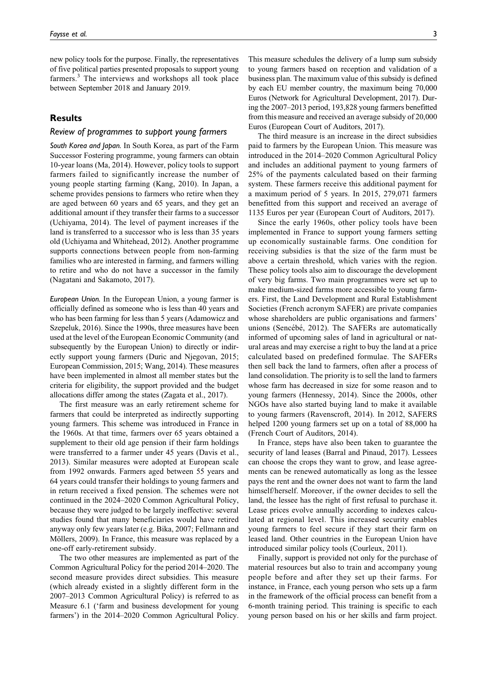new policy tools for the purpose. Finally, the representatives of five political parties presented proposals to support young farmers.<sup>3</sup> The interviews and workshops all took place between September 2018 and January 2019.

# **Results**

### Review of programmes to support young farmers

South Korea and Japan. In South Korea, as part of the Farm Successor Fostering programme, young farmers can obtain 10-year loans (Ma, 2014). However, policy tools to support farmers failed to significantly increase the number of young people starting farming (Kang, 2010). In Japan, a scheme provides pensions to farmers who retire when they are aged between 60 years and 65 years, and they get an additional amount if they transfer their farms to a successor (Uchiyama, 2014). The level of payment increases if the land is transferred to a successor who is less than 35 years old (Uchiyama and Whitehead, 2012). Another programme supports connections between people from non-farming families who are interested in farming, and farmers willing to retire and who do not have a successor in the family (Nagatani and Sakamoto, 2017).

European Union. In the European Union, a young farmer is officially defined as someone who is less than 40 years and who has been farming for less than 5 years (Adamowicz and Szepeluk, 2016). Since the 1990s, three measures have been used at the level of the European Economic Community (and subsequently by the European Union) to directly or indirectly support young farmers (Duric and Njegovan, 2015; European Commission, 2015; Wang, 2014). These measures have been implemented in almost all member states but the criteria for eligibility, the support provided and the budget allocations differ among the states (Zagata et al., 2017).

The first measure was an early retirement scheme for farmers that could be interpreted as indirectly supporting young farmers. This scheme was introduced in France in the 1960s. At that time, farmers over 65 years obtained a supplement to their old age pension if their farm holdings were transferred to a farmer under 45 years (Davis et al., 2013). Similar measures were adopted at European scale from 1992 onwards. Farmers aged between 55 years and 64 years could transfer their holdings to young farmers and in return received a fixed pension. The schemes were not continued in the 2024–2020 Common Agricultural Policy, because they were judged to be largely ineffective: several studies found that many beneficiaries would have retired anyway only few years later (e.g. Bika, 2007; Fellmann and Möllers, 2009). In France, this measure was replaced by a one-off early-retirement subsidy.

The two other measures are implemented as part of the Common Agricultural Policy for the period 2014–2020. The second measure provides direct subsidies. This measure (which already existed in a slightly different form in the 2007–2013 Common Agricultural Policy) is referred to as Measure 6.1 ('farm and business development for young farmers') in the 2014–2020 Common Agricultural Policy.

This measure schedules the delivery of a lump sum subsidy to young farmers based on reception and validation of a business plan. The maximum value of this subsidy is defined by each EU member country, the maximum being 70,000 Euros (Network for Agricultural Development, 2017). During the 2007–2013 period, 193,828 young farmers benefitted from this measure and received an average subsidy of 20,000 Euros (European Court of Auditors, 2017).

The third measure is an increase in the direct subsidies paid to farmers by the European Union. This measure was introduced in the 2014–2020 Common Agricultural Policy and includes an additional payment to young farmers of 25% of the payments calculated based on their farming system. These farmers receive this additional payment for a maximum period of 5 years. In 2015, 279,071 farmers benefitted from this support and received an average of 1135 Euros per year (European Court of Auditors, 2017).

Since the early 1960s, other policy tools have been implemented in France to support young farmers setting up economically sustainable farms. One condition for receiving subsidies is that the size of the farm must be above a certain threshold, which varies with the region. These policy tools also aim to discourage the development of very big farms. Two main programmes were set up to make medium-sized farms more accessible to young farmers. First, the Land Development and Rural Establishment Societies (French acronym SAFER) are private companies whose shareholders are public organisations and farmers' unions (Sencébé, 2012). The SAFERs are automatically informed of upcoming sales of land in agricultural or natural areas and may exercise a right to buy the land at a price calculated based on predefined formulae. The SAFERs then sell back the land to farmers, often after a process of land consolidation. The priority is to sell the land to farmers whose farm has decreased in size for some reason and to young farmers (Hennessy, 2014). Since the 2000s, other NGOs have also started buying land to make it available to young farmers (Ravenscroft, 2014). In 2012, SAFERS helped 1200 young farmers set up on a total of 88,000 ha (French Court of Auditors, 2014).

In France, steps have also been taken to guarantee the security of land leases (Barral and Pinaud, 2017). Lessees can choose the crops they want to grow, and lease agreements can be renewed automatically as long as the lessee pays the rent and the owner does not want to farm the land himself/herself. Moreover, if the owner decides to sell the land, the lessee has the right of first refusal to purchase it. Lease prices evolve annually according to indexes calculated at regional level. This increased security enables young farmers to feel secure if they start their farm on leased land. Other countries in the European Union have introduced similar policy tools (Courleux, 2011).

Finally, support is provided not only for the purchase of material resources but also to train and accompany young people before and after they set up their farms. For instance, in France, each young person who sets up a farm in the framework of the official process can benefit from a 6-month training period. This training is specific to each young person based on his or her skills and farm project.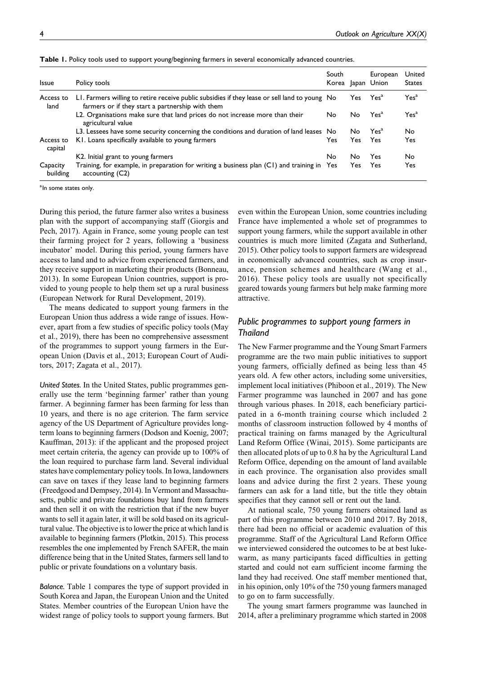| <b>Issue</b>         | Policy tools                                                                                                                                      | South<br>Korea |      | European<br>Japan Union | United<br><b>States</b> |
|----------------------|---------------------------------------------------------------------------------------------------------------------------------------------------|----------------|------|-------------------------|-------------------------|
| Access to<br>land    | LI. Farmers willing to retire receive public subsidies if they lease or sell land to young No<br>farmers or if they start a partnership with them |                | Yes: | Yes <sup>a</sup>        | Yes <sup>a</sup>        |
|                      | L2. Organisations make sure that land prices do not increase more than their<br>agricultural value                                                | No             | No.  | Yes <sup>a</sup>        | Yes <sup>a</sup>        |
|                      | L3. Lessees have some security concerning the conditions and duration of land leases No                                                           |                | No.  | Yes <sup>a</sup>        | No.                     |
| Access to<br>capital | KI. Loans specifically available to young farmers                                                                                                 | Yes            | Yes  | Yes.                    | Yes                     |
|                      | K2. Initial grant to young farmers                                                                                                                | No             | No   | Yes                     | No.                     |
| Capacity<br>building | Training, for example, in preparation for writing a business plan (C1) and training in Yes<br>accounting (C2)                                     |                | Yes  | Yes                     | Yes                     |

|  |  |  | Table 1. Policy tools used to support young/beginning farmers in several economically advanced countries. |
|--|--|--|-----------------------------------------------------------------------------------------------------------|
|  |  |  |                                                                                                           |

<sup>a</sup>ln some states only.

During this period, the future farmer also writes a business plan with the support of accompanying staff (Giorgis and Pech, 2017). Again in France, some young people can test their farming project for 2 years, following a 'business incubator' model. During this period, young farmers have access to land and to advice from experienced farmers, and they receive support in marketing their products (Bonneau, 2013). In some European Union countries, support is provided to young people to help them set up a rural business (European Network for Rural Development, 2019).

The means dedicated to support young farmers in the European Union thus address a wide range of issues. However, apart from a few studies of specific policy tools (May et al., 2019), there has been no comprehensive assessment of the programmes to support young farmers in the European Union (Davis et al., 2013; European Court of Auditors, 2017; Zagata et al., 2017).

United States. In the United States, public programmes generally use the term 'beginning farmer' rather than young farmer. A beginning farmer has been farming for less than 10 years, and there is no age criterion. The farm service agency of the US Department of Agriculture provides longterm loans to beginning farmers (Dodson and Koenig, 2007; Kauffman, 2013): if the applicant and the proposed project meet certain criteria, the agency can provide up to 100% of the loan required to purchase farm land. Several individual states have complementary policy tools. In Iowa, landowners can save on taxes if they lease land to beginning farmers (Freedgood and Dempsey, 2014). In Vermont and Massachusetts, public and private foundations buy land from farmers and then sell it on with the restriction that if the new buyer wants to sell it again later, it will be sold based on its agricultural value. The objective is to lower the price at which land is available to beginning farmers (Plotkin, 2015). This process resembles the one implemented by French SAFER, the main difference being that in the United States, farmers sell land to public or private foundations on a voluntary basis.

Balance. Table 1 compares the type of support provided in South Korea and Japan, the European Union and the United States. Member countries of the European Union have the widest range of policy tools to support young farmers. But even within the European Union, some countries including France have implemented a whole set of programmes to support young farmers, while the support available in other countries is much more limited (Zagata and Sutherland, 2015). Other policy tools to support farmers are widespread in economically advanced countries, such as crop insurance, pension schemes and healthcare (Wang et al., 2016). These policy tools are usually not specifically geared towards young farmers but help make farming more attractive.

# Public programmes to support young farmers in Thailand

The New Farmer programme and the Young Smart Farmers programme are the two main public initiatives to support young farmers, officially defined as being less than 45 years old. A few other actors, including some universities, implement local initiatives (Phiboon et al., 2019). The New Farmer programme was launched in 2007 and has gone through various phases. In 2018, each beneficiary participated in a 6-month training course which included 2 months of classroom instruction followed by 4 months of practical training on farms managed by the Agricultural Land Reform Office (Winai, 2015). Some participants are then allocated plots of up to 0.8 ha by the Agricultural Land Reform Office, depending on the amount of land available in each province. The organisation also provides small loans and advice during the first 2 years. These young farmers can ask for a land title, but the title they obtain specifies that they cannot sell or rent out the land.

At national scale, 750 young farmers obtained land as part of this programme between 2010 and 2017. By 2018, there had been no official or academic evaluation of this programme. Staff of the Agricultural Land Reform Office we interviewed considered the outcomes to be at best lukewarm, as many participants faced difficulties in getting started and could not earn sufficient income farming the land they had received. One staff member mentioned that, in his opinion, only 10% of the 750 young farmers managed to go on to farm successfully.

The young smart farmers programme was launched in 2014, after a preliminary programme which started in 2008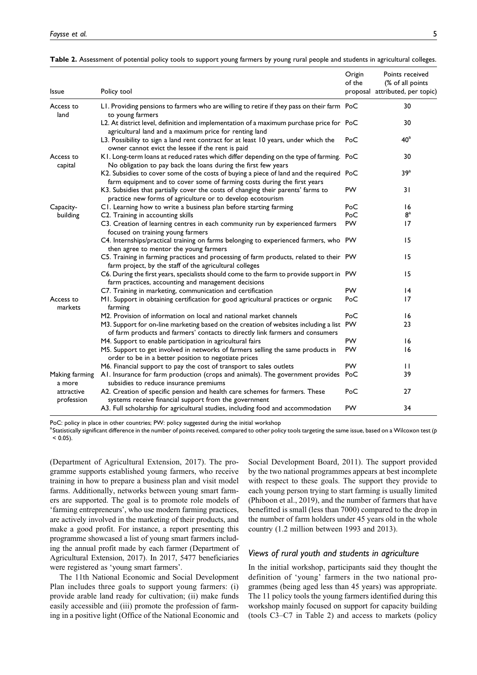| Issue                    | Policy tool                                                                                                                                                              | Origin<br>of the | Points received<br>(% of all points)<br>proposal attributed, per topic) |
|--------------------------|--------------------------------------------------------------------------------------------------------------------------------------------------------------------------|------------------|-------------------------------------------------------------------------|
| Access to<br>land        | LI. Providing pensions to farmers who are willing to retire if they pass on their farm PoC<br>to young farmers                                                           |                  | 30                                                                      |
|                          | L2. At district level, definition and implementation of a maximum purchase price for PoC<br>agricultural land and a maximum price for renting land                       |                  | 30                                                                      |
|                          | L3. Possibility to sign a land rent contract for at least 10 years, under which the<br>owner cannot evict the lessee if the rent is paid                                 | PoC              | $40^{\rm a}$                                                            |
| Access to<br>capital     | K1. Long-term loans at reduced rates which differ depending on the type of farming. PoC<br>No obligation to pay back the loans during the first few years                |                  | 30                                                                      |
|                          | K2. Subsidies to cover some of the costs of buying a piece of land and the required PoC<br>farm equipment and to cover some of farming costs during the first years      |                  | 39 <sup>a</sup>                                                         |
|                          | K3. Subsidies that partially cover the costs of changing their parents' farms to<br>practice new forms of agriculture or to develop ecotourism                           | <b>PW</b>        | 31                                                                      |
| Capacity-                | C1. Learning how to write a business plan before starting farming                                                                                                        | PoC              | 16                                                                      |
| building                 | C2. Training in accounting skills                                                                                                                                        | PoC              | $\mathbf{8}^{\mathrm{a}}$                                               |
|                          | C3. Creation of learning centres in each community run by experienced farmers<br>focused on training young farmers                                                       | <b>PW</b>        | 17                                                                      |
|                          | C4. Internships/practical training on farms belonging to experienced farmers, who PW<br>then agree to mentor the young farmers                                           |                  | 15                                                                      |
|                          | C5. Training in farming practices and processing of farm products, related to their PW<br>farm project, by the staff of the agricultural colleges                        |                  | 15                                                                      |
|                          | C6. During the first years, specialists should come to the farm to provide support in PW<br>farm practices, accounting and management decisions                          |                  | 15                                                                      |
|                          | C7. Training in marketing, communication and certification                                                                                                               | <b>PW</b>        | 4                                                                       |
| Access to<br>markets     | MI. Support in obtaining certification for good agricultural practices or organic<br>farming                                                                             | PoC              | 17                                                                      |
|                          | M2. Provision of information on local and national market channels                                                                                                       | PoC              | 16                                                                      |
|                          | M3. Support for on-line marketing based on the creation of websites including a list PW<br>of farm products and farmers' contacts to directly link farmers and consumers |                  | 23                                                                      |
|                          | M4. Support to enable participation in agricultural fairs                                                                                                                | PW               | 16                                                                      |
|                          | M5. Support to get involved in networks of farmers selling the same products in<br>order to be in a better position to negotiate prices                                  | <b>PW</b>        | 16                                                                      |
|                          | M6. Financial support to pay the cost of transport to sales outlets                                                                                                      | <b>PW</b>        | $\mathbf{H}$                                                            |
| Making farming<br>a more | AI. Insurance for farm production (crops and animals). The government provides PoC<br>subsidies to reduce insurance premiums                                             |                  | 39                                                                      |
| attractive<br>profession | A2. Creation of specific pension and health care schemes for farmers. These<br>systems receive financial support from the government                                     | PoC              | 27                                                                      |
|                          | A3. Full scholarship for agricultural studies, including food and accommodation                                                                                          | <b>PW</b>        | 34                                                                      |

| Table 2. Assessment of potential policy tools to support young farmers by young rural people and students in agricultural colleges |  |  |  |  |
|------------------------------------------------------------------------------------------------------------------------------------|--|--|--|--|
|                                                                                                                                    |  |  |  |  |

PoC: policy in place in other countries; PW: policy suggested during the initial workshop

 $^{\rm a}$ Statistically significant difference in the number of points received, compared to other policy tools targeting the same issue, based on a Wilcoxon test (p  $< 0.05$ ).

(Department of Agricultural Extension, 2017). The programme supports established young farmers, who receive training in how to prepare a business plan and visit model farms. Additionally, networks between young smart farmers are supported. The goal is to promote role models of 'farming entrepreneurs', who use modern farming practices, are actively involved in the marketing of their products, and make a good profit. For instance, a report presenting this programme showcased a list of young smart farmers including the annual profit made by each farmer (Department of Agricultural Extension, 2017). In 2017, 5477 beneficiaries were registered as 'young smart farmers'.

The 11th National Economic and Social Development Plan includes three goals to support young farmers: (i) provide arable land ready for cultivation; (ii) make funds easily accessible and (iii) promote the profession of farming in a positive light (Office of the National Economic and Social Development Board, 2011). The support provided by the two national programmes appears at best incomplete with respect to these goals. The support they provide to each young person trying to start farming is usually limited (Phiboon et al., 2019), and the number of farmers that have benefitted is small (less than 7000) compared to the drop in the number of farm holders under 45 years old in the whole country (1.2 million between 1993 and 2013).

#### Views of rural youth and students in agriculture

In the initial workshop, participants said they thought the definition of 'young' farmers in the two national programmes (being aged less than 45 years) was appropriate. The 11 policy tools the young farmers identified during this workshop mainly focused on support for capacity building (tools C3–C7 in Table 2) and access to markets (policy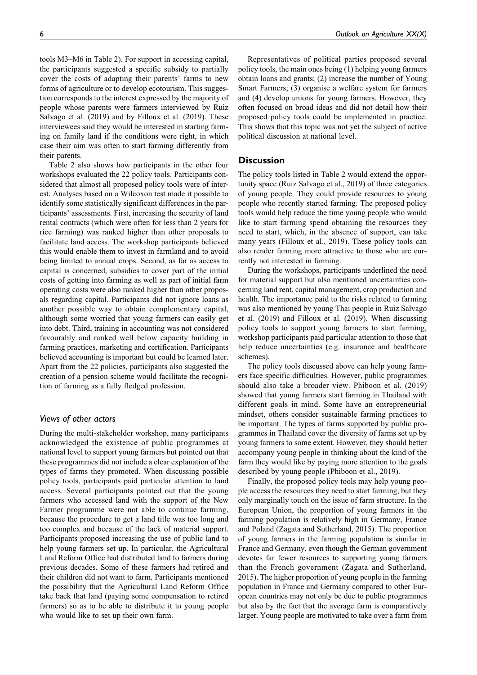tools M3–M6 in Table 2). For support in accessing capital, the participants suggested a specific subsidy to partially cover the costs of adapting their parents' farms to new forms of agriculture or to develop ecotourism. This suggestion corresponds to the interest expressed by the majority of people whose parents were farmers interviewed by Ruiz Salvago et al. (2019) and by Filloux et al. (2019). These interviewees said they would be interested in starting farming on family land if the conditions were right, in which case their aim was often to start farming differently from their parents.

Table 2 also shows how participants in the other four workshops evaluated the 22 policy tools. Participants considered that almost all proposed policy tools were of interest. Analyses based on a Wilcoxon test made it possible to identify some statistically significant differences in the participants' assessments. First, increasing the security of land rental contracts (which were often for less than 2 years for rice farming) was ranked higher than other proposals to facilitate land access. The workshop participants believed this would enable them to invest in farmland and to avoid being limited to annual crops. Second, as far as access to capital is concerned, subsidies to cover part of the initial costs of getting into farming as well as part of initial farm operating costs were also ranked higher than other proposals regarding capital. Participants did not ignore loans as another possible way to obtain complementary capital, although some worried that young farmers can easily get into debt. Third, training in accounting was not considered favourably and ranked well below capacity building in farming practices, marketing and certification. Participants believed accounting is important but could be learned later. Apart from the 22 policies, participants also suggested the creation of a pension scheme would facilitate the recognition of farming as a fully fledged profession.

# Views of other actors

During the multi-stakeholder workshop, many participants acknowledged the existence of public programmes at national level to support young farmers but pointed out that these programmes did not include a clear explanation of the types of farms they promoted. When discussing possible policy tools, participants paid particular attention to land access. Several participants pointed out that the young farmers who accessed land with the support of the New Farmer programme were not able to continue farming, because the procedure to get a land title was too long and too complex and because of the lack of material support. Participants proposed increasing the use of public land to help young farmers set up. In particular, the Agricultural Land Reform Office had distributed land to farmers during previous decades. Some of these farmers had retired and their children did not want to farm. Participants mentioned the possibility that the Agricultural Land Reform Office take back that land (paying some compensation to retired farmers) so as to be able to distribute it to young people who would like to set up their own farm.

Representatives of political parties proposed several policy tools, the main ones being (1) helping young farmers obtain loans and grants; (2) increase the number of Young Smart Farmers; (3) organise a welfare system for farmers and (4) develop unions for young farmers. However, they often focused on broad ideas and did not detail how their proposed policy tools could be implemented in practice. This shows that this topic was not yet the subject of active political discussion at national level.

#### **Discussion**

The policy tools listed in Table 2 would extend the opportunity space (Ruiz Salvago et al., 2019) of three categories of young people. They could provide resources to young people who recently started farming. The proposed policy tools would help reduce the time young people who would like to start farming spend obtaining the resources they need to start, which, in the absence of support, can take many years (Filloux et al., 2019). These policy tools can also render farming more attractive to those who are currently not interested in farming.

During the workshops, participants underlined the need for material support but also mentioned uncertainties concerning land rent, capital management, crop production and health. The importance paid to the risks related to farming was also mentioned by young Thai people in Ruiz Salvago et al. (2019) and Filloux et al. (2019). When discussing policy tools to support young farmers to start farming, workshop participants paid particular attention to those that help reduce uncertainties (e.g. insurance and healthcare schemes).

The policy tools discussed above can help young farmers face specific difficulties. However, public programmes should also take a broader view. Phiboon et al. (2019) showed that young farmers start farming in Thailand with different goals in mind. Some have an entrepreneurial mindset, others consider sustainable farming practices to be important. The types of farms supported by public programmes in Thailand cover the diversity of farms set up by young farmers to some extent. However, they should better accompany young people in thinking about the kind of the farm they would like by paying more attention to the goals described by young people (Phiboon et al., 2019).

Finally, the proposed policy tools may help young people access the resources they need to start farming, but they only marginally touch on the issue of farm structure. In the European Union, the proportion of young farmers in the farming population is relatively high in Germany, France and Poland (Zagata and Sutherland, 2015). The proportion of young farmers in the farming population is similar in France and Germany, even though the German government devotes far fewer resources to supporting young farmers than the French government (Zagata and Sutherland, 2015). The higher proportion of young people in the farming population in France and Germany compared to other European countries may not only be due to public programmes but also by the fact that the average farm is comparatively larger. Young people are motivated to take over a farm from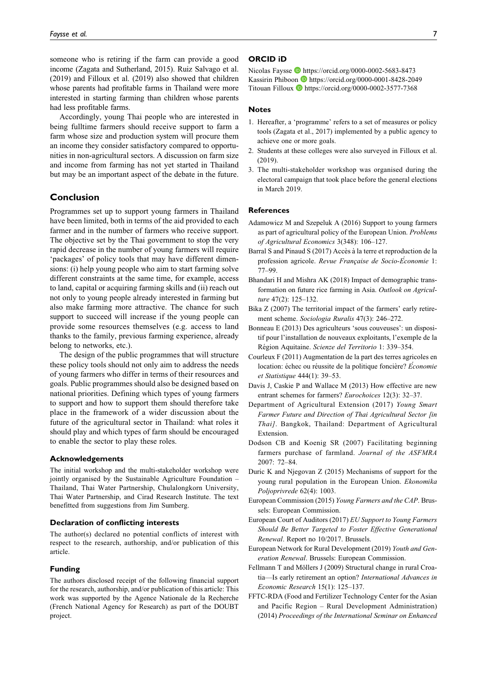someone who is retiring if the farm can provide a good income (Zagata and Sutherland, 2015). Ruiz Salvago et al. (2019) and Filloux et al. (2019) also showed that children whose parents had profitable farms in Thailand were more interested in starting farming than children whose parents had less profitable farms.

Accordingly, young Thai people who are interested in being fulltime farmers should receive support to farm a farm whose size and production system will procure them an income they consider satisfactory compared to opportunities in non-agricultural sectors. A discussion on farm size and income from farming has not yet started in Thailand but may be an important aspect of the debate in the future.

# Conclusion

Programmes set up to support young farmers in Thailand have been limited, both in terms of the aid provided to each farmer and in the number of farmers who receive support. The objective set by the Thai government to stop the very rapid decrease in the number of young farmers will require 'packages' of policy tools that may have different dimensions: (i) help young people who aim to start farming solve different constraints at the same time, for example, access to land, capital or acquiring farming skills and (ii) reach out not only to young people already interested in farming but also make farming more attractive. The chance for such support to succeed will increase if the young people can provide some resources themselves (e.g. access to land thanks to the family, previous farming experience, already belong to networks, etc.).

The design of the public programmes that will structure these policy tools should not only aim to address the needs of young farmers who differ in terms of their resources and goals. Public programmes should also be designed based on national priorities. Defining which types of young farmers to support and how to support them should therefore take place in the framework of a wider discussion about the future of the agricultural sector in Thailand: what roles it should play and which types of farm should be encouraged to enable the sector to play these roles.

#### Acknowledgements

The initial workshop and the multi-stakeholder workshop were jointly organised by the Sustainable Agriculture Foundation – Thailand, Thai Water Partnership, Chulalongkorn University, Thai Water Partnership, and Cirad Research Institute. The text benefitted from suggestions from Jim Sumberg.

#### Declaration of conflicting interests

The author(s) declared no potential conflicts of interest with respect to the research, authorship, and/or publication of this article.

#### Funding

The authors disclosed receipt of the following financial support for the research, authorship, and/or publication of this article: This work was supported by the Agence Nationale de la Recherche (French National Agency for Research) as part of the DOUBT project.

## ORCID iD

Nicolas Faysse <https://orcid.org/0000-0002-5683-8473> Kassirin Phiboon D<https://orcid.org/0000-0001-8428-2049> Titouan Filloux  $\blacksquare$  <https://orcid.org/0000-0002-3577-7368>

#### **Notes**

- 1. Hereafter, a 'programme' refers to a set of measures or policy tools (Zagata et al., 2017) implemented by a public agency to achieve one or more goals.
- 2. Students at these colleges were also surveyed in Filloux et al. (2019).
- 3. The multi-stakeholder workshop was organised during the electoral campaign that took place before the general elections in March 2019.

#### **References**

- Adamowicz M and Szepeluk A (2016) Support to young farmers as part of agricultural policy of the European Union. Problems of Agricultural Economics 3(348): 106–127.
- Barral S and Pinaud S (2017) Accès à la terre et reproduction de la profession agricole. Revue Française de Socio-Économie 1: 77–99.
- Bhandari H and Mishra AK (2018) Impact of demographic transformation on future rice farming in Asia. Outlook on Agriculture 47(2): 125–132.
- Bika Z (2007) The territorial impact of the farmers' early retirement scheme. Sociologia Ruralis 47(3): 246–272.
- Bonneau E (2013) Des agriculteurs 'sous couveuses': un dispositif pour l'installation de nouveaux exploitants, l'exemple de la Région Aquitaine. Scienze del Territorio 1: 339-354.
- Courleux F (2011) Augmentation de la part des terres agricoles en location: échec ou réussite de la politique foncière? Economie et Statistique 444(1): 39–53.
- Davis J, Caskie P and Wallace M (2013) How effective are new entrant schemes for farmers? Eurochoices 12(3): 32–37.
- Department of Agricultural Extension (2017) Young Smart Farmer Future and Direction of Thai Agricultural Sector [in Thai]. Bangkok, Thailand: Department of Agricultural Extension.
- Dodson CB and Koenig SR (2007) Facilitating beginning farmers purchase of farmland. Journal of the ASFMRA 2007: 72–84.
- Duric K and Njegovan Z (2015) Mechanisms of support for the young rural population in the European Union. Ekonomika Poljoprivrede 62(4): 1003.
- European Commission (2015) Young Farmers and the CAP. Brussels: European Commission.
- European Court of Auditors (2017) EU Support to Young Farmers Should Be Better Targeted to Foster Effective Generational Renewal. Report no 10/2017. Brussels.
- European Network for Rural Development (2019) Youth and Generation Renewal. Brussels: European Commission.
- Fellmann T and Möllers J (2009) Structural change in rural Croatia—Is early retirement an option? International Advances in Economic Research 15(1): 125–137.
- FFTC-RDA (Food and Fertilizer Technology Center for the Asian and Pacific Region – Rural Development Administration) (2014) Proceedings of the International Seminar on Enhanced